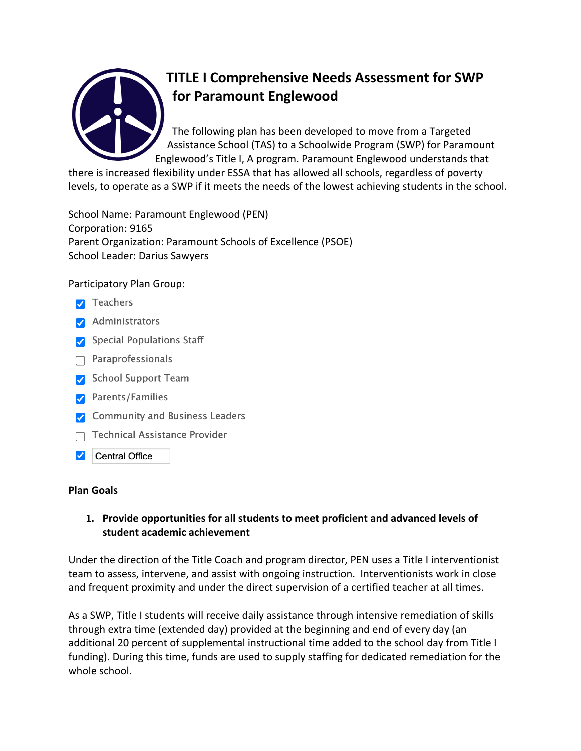

# **TITLE I Comprehensive Needs Assessment for SWP for Paramount Englewood**

The following plan has been developed to move from a Targeted Assistance School (TAS) to a Schoolwide Program (SWP) for Paramount Englewood's Title I, A program. Paramount Englewood understands that

there is increased flexibility under ESSA that has allowed all schools, regardless of poverty levels, to operate as a SWP if it meets the needs of the lowest achieving students in the school.

School Name: Paramount Englewood (PEN) Corporation: 9165 Parent Organization: Paramount Schools of Excellence (PSOE) School Leader: Darius Sawyers

### Participatory Plan Group:

- $\triangledown$  Teachers
- Administrators
- Special Populations Staff
- $\bigcap$  Paraprofessionals
- School Support Team
- Parents/Families
- Community and Business Leaders
- **Technical Assistance Provider**
- **Central Office** ✓

#### **Plan Goals**

### **1. Provide opportunities for all students to meet proficient and advanced levels of student academic achievement**

Under the direction of the Title Coach and program director, PEN uses a Title I interventionist team to assess, intervene, and assist with ongoing instruction. Interventionists work in close and frequent proximity and under the direct supervision of a certified teacher at all times.

As a SWP, Title I students will receive daily assistance through intensive remediation of skills through extra time (extended day) provided at the beginning and end of every day (an additional 20 percent of supplemental instructional time added to the school day from Title I funding). During this time, funds are used to supply staffing for dedicated remediation for the whole school.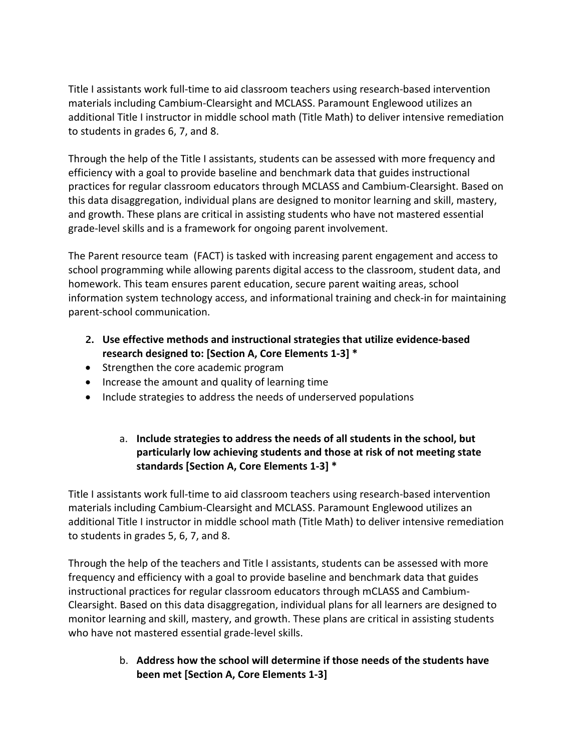Title I assistants work full-time to aid classroom teachers using research-based intervention materials including Cambium-Clearsight and MCLASS. Paramount Englewood utilizes an additional Title I instructor in middle school math (Title Math) to deliver intensive remediation to students in grades 6, 7, and 8.

Through the help of the Title I assistants, students can be assessed with more frequency and efficiency with a goal to provide baseline and benchmark data that guides instructional practices for regular classroom educators through MCLASS and Cambium-Clearsight. Based on this data disaggregation, individual plans are designed to monitor learning and skill, mastery, and growth. These plans are critical in assisting students who have not mastered essential grade-level skills and is a framework for ongoing parent involvement.

The Parent resource team (FACT) is tasked with increasing parent engagement and access to school programming while allowing parents digital access to the classroom, student data, and homework. This team ensures parent education, secure parent waiting areas, school information system technology access, and informational training and check-in for maintaining parent-school communication.

- **2. Use effective methods and instructional strategies that utilize evidence-based research designed to: [Section A, Core Elements 1-3] \***
- Strengthen the core academic program
- Increase the amount and quality of learning time
- Include strategies to address the needs of underserved populations

# a. **Include strategies to address the needs of all students in the school, but particularly low achieving students and those at risk of not meeting state standards [Section A, Core Elements 1-3] \***

Title I assistants work full-time to aid classroom teachers using research-based intervention materials including Cambium-Clearsight and MCLASS. Paramount Englewood utilizes an additional Title I instructor in middle school math (Title Math) to deliver intensive remediation to students in grades 5, 6, 7, and 8.

Through the help of the teachers and Title I assistants, students can be assessed with more frequency and efficiency with a goal to provide baseline and benchmark data that guides instructional practices for regular classroom educators through mCLASS and Cambium-Clearsight. Based on this data disaggregation, individual plans for all learners are designed to monitor learning and skill, mastery, and growth. These plans are critical in assisting students who have not mastered essential grade-level skills.

> b. **Address how the school will determine if those needs of the students have been met [Section A, Core Elements 1-3]**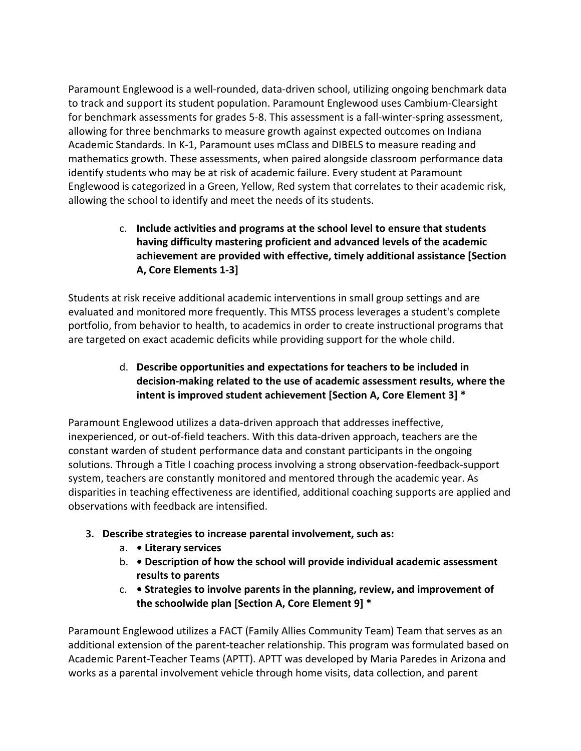Paramount Englewood is a well-rounded, data-driven school, utilizing ongoing benchmark data to track and support its student population. Paramount Englewood uses Cambium-Clearsight for benchmark assessments for grades 5-8. This assessment is a fall-winter-spring assessment, allowing for three benchmarks to measure growth against expected outcomes on Indiana Academic Standards. In K-1, Paramount uses mClass and DIBELS to measure reading and mathematics growth. These assessments, when paired alongside classroom performance data identify students who may be at risk of academic failure. Every student at Paramount Englewood is categorized in a Green, Yellow, Red system that correlates to their academic risk, allowing the school to identify and meet the needs of its students.

> c. **Include activities and programs at the school level to ensure that students having difficulty mastering proficient and advanced levels of the academic achievement are provided with effective, timely additional assistance [Section A, Core Elements 1-3]**

Students at risk receive additional academic interventions in small group settings and are evaluated and monitored more frequently. This MTSS process leverages a student's complete portfolio, from behavior to health, to academics in order to create instructional programs that are targeted on exact academic deficits while providing support for the whole child.

# d. **Describe opportunities and expectations for teachers to be included in decision-making related to the use of academic assessment results, where the intent is improved student achievement [Section A, Core Element 3] \***

Paramount Englewood utilizes a data-driven approach that addresses ineffective, inexperienced, or out-of-field teachers. With this data-driven approach, teachers are the constant warden of student performance data and constant participants in the ongoing solutions. Through a Title I coaching process involving a strong observation-feedback-support system, teachers are constantly monitored and mentored through the academic year. As disparities in teaching effectiveness are identified, additional coaching supports are applied and observations with feedback are intensified.

- **3. Describe strategies to increase parental involvement, such as:** 
	- a.  **Literary services**
	- b.  **Description of how the school will provide individual academic assessment results to parents**
	- c.  **Strategies to involve parents in the planning, review, and improvement of the schoolwide plan [Section A, Core Element 9] \***

Paramount Englewood utilizes a FACT (Family Allies Community Team) Team that serves as an additional extension of the parent-teacher relationship. This program was formulated based on Academic Parent-Teacher Teams (APTT). APTT was developed by Maria Paredes in Arizona and works as a parental involvement vehicle through home visits, data collection, and parent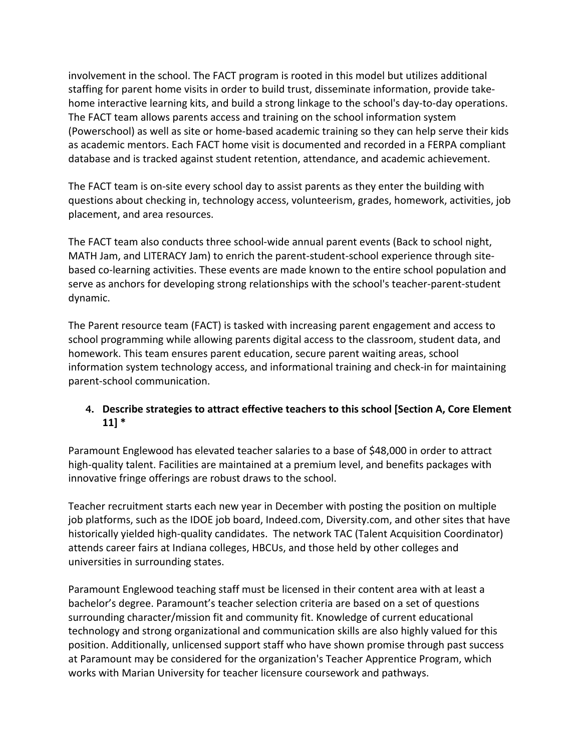involvement in the school. The FACT program is rooted in this model but utilizes additional staffing for parent home visits in order to build trust, disseminate information, provide takehome interactive learning kits, and build a strong linkage to the school's day-to-day operations. The FACT team allows parents access and training on the school information system (Powerschool) as well as site or home-based academic training so they can help serve their kids as academic mentors. Each FACT home visit is documented and recorded in a FERPA compliant database and is tracked against student retention, attendance, and academic achievement.

The FACT team is on-site every school day to assist parents as they enter the building with questions about checking in, technology access, volunteerism, grades, homework, activities, job placement, and area resources.

The FACT team also conducts three school-wide annual parent events (Back to school night, MATH Jam, and LITERACY Jam) to enrich the parent-student-school experience through sitebased co-learning activities. These events are made known to the entire school population and serve as anchors for developing strong relationships with the school's teacher-parent-student dynamic.

The Parent resource team (FACT) is tasked with increasing parent engagement and access to school programming while allowing parents digital access to the classroom, student data, and homework. This team ensures parent education, secure parent waiting areas, school information system technology access, and informational training and check-in for maintaining parent-school communication.

# **4. Describe strategies to attract effective teachers to this school [Section A, Core Element 11] \***

Paramount Englewood has elevated teacher salaries to a base of \$48,000 in order to attract high-quality talent. Facilities are maintained at a premium level, and benefits packages with innovative fringe offerings are robust draws to the school.

Teacher recruitment starts each new year in December with posting the position on multiple job platforms, such as the IDOE job board, Indeed.com, Diversity.com, and other sites that have historically yielded high-quality candidates. The network TAC (Talent Acquisition Coordinator) attends career fairs at Indiana colleges, HBCUs, and those held by other colleges and universities in surrounding states.

Paramount Englewood teaching staff must be licensed in their content area with at least a bachelor's degree. Paramount's teacher selection criteria are based on a set of questions surrounding character/mission fit and community fit. Knowledge of current educational technology and strong organizational and communication skills are also highly valued for this position. Additionally, unlicensed support staff who have shown promise through past success at Paramount may be considered for the organization's Teacher Apprentice Program, which works with Marian University for teacher licensure coursework and pathways.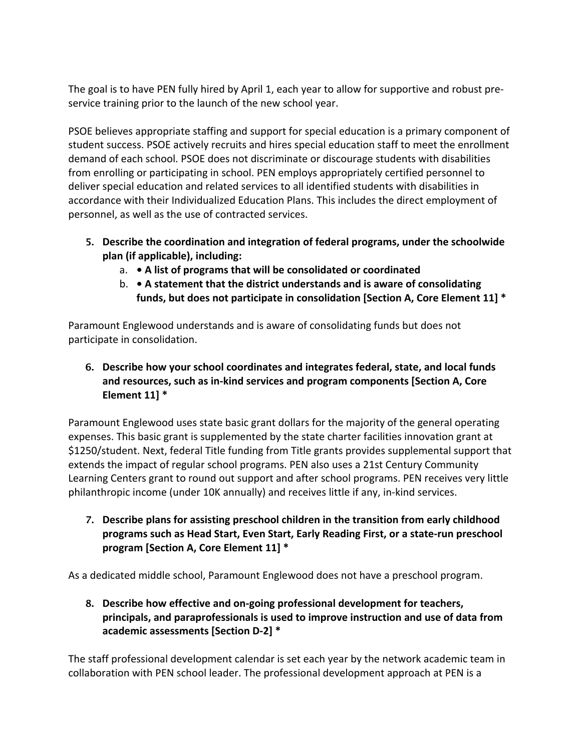The goal is to have PEN fully hired by April 1, each year to allow for supportive and robust preservice training prior to the launch of the new school year.

PSOE believes appropriate staffing and support for special education is a primary component of student success. PSOE actively recruits and hires special education staff to meet the enrollment demand of each school. PSOE does not discriminate or discourage students with disabilities from enrolling or participating in school. PEN employs appropriately certified personnel to deliver special education and related services to all identified students with disabilities in accordance with their Individualized Education Plans. This includes the direct employment of personnel, as well as the use of contracted services.

- **5. Describe the coordination and integration of federal programs, under the schoolwide plan (if applicable), including:** 
	- a.  **A list of programs that will be consolidated or coordinated**
	- b.  **A statement that the district understands and is aware of consolidating funds, but does not participate in consolidation [Section A, Core Element 11] \***

Paramount Englewood understands and is aware of consolidating funds but does not participate in consolidation.

**6. Describe how your school coordinates and integrates federal, state, and local funds and resources, such as in-kind services and program components [Section A, Core Element 11] \***

Paramount Englewood uses state basic grant dollars for the majority of the general operating expenses. This basic grant is supplemented by the state charter facilities innovation grant at \$1250/student. Next, federal Title funding from Title grants provides supplemental support that extends the impact of regular school programs. PEN also uses a 21st Century Community Learning Centers grant to round out support and after school programs. PEN receives very little philanthropic income (under 10K annually) and receives little if any, in-kind services.

**7. Describe plans for assisting preschool children in the transition from early childhood programs such as Head Start, Even Start, Early Reading First, or a state-run preschool program [Section A, Core Element 11] \***

As a dedicated middle school, Paramount Englewood does not have a preschool program.

**8. Describe how effective and on-going professional development for teachers, principals, and paraprofessionals is used to improve instruction and use of data from academic assessments [Section D-2] \***

The staff professional development calendar is set each year by the network academic team in collaboration with PEN school leader. The professional development approach at PEN is a